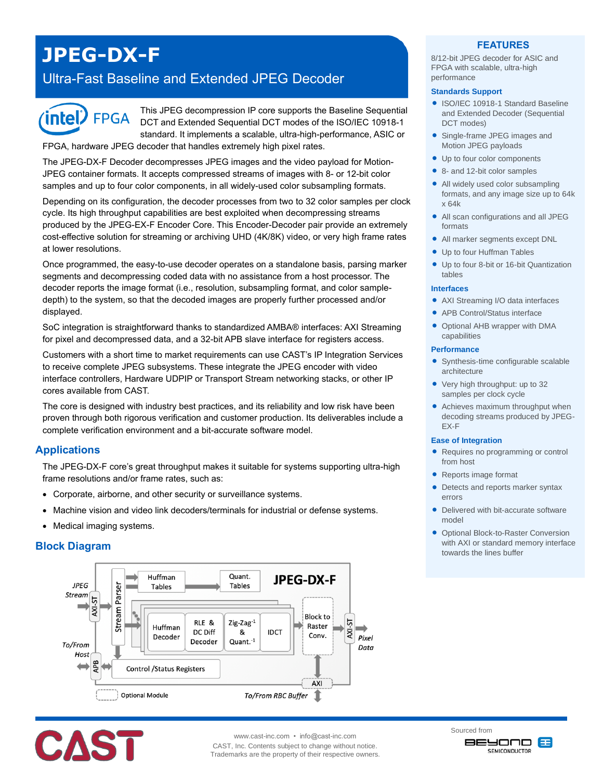# **JPEG-DX-F**

## Ultra-Fast Baseline and Extended JPEG Decoder



This JPEG decompression IP core supports the Baseline Sequential DCT and Extended Sequential DCT modes of the ISO/IEC 10918-1 standard. It implements a scalable, ultra-high-performance, ASIC or

FPGA, hardware JPEG decoder that handles extremely high pixel rates.

The JPEG-DX-F Decoder decompresses JPEG images and the video payload for Motion-JPEG container formats. It accepts compressed streams of images with 8- or 12-bit color samples and up to four color components, in all widely-used color subsampling formats.

Depending on its configuration, the decoder processes from two to 32 color samples per clock cycle. Its high throughput capabilities are best exploited when decompressing streams produced by the JPEG-EX-F Encoder Core. This Encoder-Decoder pair provide an extremely cost-effective solution for streaming or archiving UHD (4K/8K) video, or very high frame rates at lower resolutions.

Once programmed, the easy-to-use decoder operates on a standalone basis, parsing marker segments and decompressing coded data with no assistance from a host processor. The decoder reports the image format (i.e., resolution, subsampling format, and color sampledepth) to the system, so that the decoded images are properly further processed and/or displayed.

SoC integration is straightforward thanks to standardized AMBA® interfaces: AXI Streaming for pixel and decompressed data, and a 32-bit APB slave interface for registers access.

Customers with a short time to market requirements can use CAST's IP Integration Services to receive complete JPEG subsystems. These integrate the JPEG encoder with video interface controllers, Hardware UDPIP or Transport Stream networking stacks, or other IP cores available from CAST.

The core is designed with industry best practices, and its reliability and low risk have been proven through both rigorous verification and customer production. Its deliverables include a complete verification environment and a bit-accurate software model.

## **Applications**

The JPEG-DX-F core's great throughput makes it suitable for systems supporting ultra-high frame resolutions and/or frame rates, such as:

- Corporate, airborne, and other security or surveillance systems.
- Machine vision and video link decoders/terminals for industrial or defense systems.
- Medical imaging systems.

## **Block Diagram**





CAST, Inc. Contents subject to change without notice. Trademarks are the property of their respective owners.

### **FEATURES**

8/12-bit JPEG decoder for ASIC and FPGA with scalable, ultra-high performance

#### **Standards Support**

- ISO/IEC 10918-1 Standard Baseline and Extended Decoder (Sequential DCT modes)
- Single-frame JPEG images and Motion JPEG payloads
- Up to four color components
- 8- and 12-bit color samples
- All widely used color subsampling formats, and any image size up to 64k x 64k
- All scan configurations and all JPEG formats
- All marker segments except DNL
- Up to four Huffman Tables
- Up to four 8-bit or 16-bit Quantization tables

#### **Interfaces**

- AXI Streaming I/O data interfaces
- APB Control/Status interface
- Optional AHB wrapper with DMA capabilities

#### **Performance**

- Synthesis-time configurable scalable architecture
- Very high throughput: up to 32 samples per clock cycle
- Achieves maximum throughput when decoding streams produced by JPEG-EX-F

#### **Ease of Integration**

- Requires no programming or control from host
- Reports image format
- Detects and reports marker syntax errors
- Delivered with bit-accurate software model
- **Optional Block-to-Raster Conversion** with AXI or standard memory interface towards the lines buffer